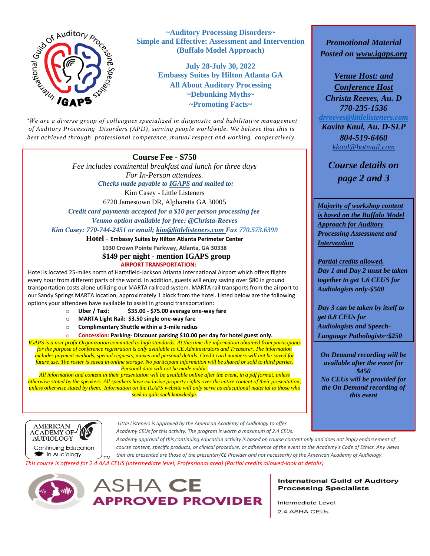

**~Auditory Processing Disorders~ Simple and Effective: Assessment and Intervention (Buffalo Model Approach)**

> **July 28-July 30, 2022 Embassy Suites by Hilton Atlanta GA All About Auditory Processing ~Debunking Myths~ ~Promoting Facts~**

*"We are a diverse group of colleagues specialized in diagnostic and habilitative management of Auditory Processing Disorders (APD), serving people worldwide. We believe that this is best achieved through professional competence, mutual respect and working cooperatively.* 

## **Course Fee - \$750** *"*

*Fee includes continental breakfast and lunch for three days For In-Person attendees. Checks made payable to IGAPS and mailed to:*

Kim Casey - Little Listeners

6720 Jamestown DR, Alpharetta GA 30005

 *Credit card payments accepted for a \$10 per person processing fee Venmo option available for free: @Christa-Reeves*

*Kim Casey: 770-744-2451 or email; [kim@littlelisteners.com](about:blank) Fax 770.573.6399*

**Hotel** *-* **Embassy Suites by Hilton Atlanta Perimeter Center**

**1030 Crown Pointe Parkway, Atlanta, GA 30338**

 **\$149 per night - mention IGAPS group AIRPORT TRANSPORTATION:**

Hotel is located 25-miles north of Hartsfield-Jackson Atlanta International Airport which offers flights every hour from different parts of the world. In addition, guests will enjoy saving over \$80 in ground transportation costs alone utilizing our MARTA railroad system. MARTA rail transports from the airport to our Sandy Springs MARTA location, approximately 1 block from the hotel. Listed below are the following options your attendees have available to assist in ground transportation:

- o **Uber / Taxi: \$35.00 - \$75.00 average one-way fare**
- o **MARTA Light Rail: \$3.50 single one-way fare**
- o **Complimentary Shuttle within a 3-mile radius**

o **Concession: Parking- Discount parking \$10.00 per day for hotel guest only.**

*IGAPS is a non-profit Organization committed to high standards. At this time the information obtained from participants for the purpose of conference registration is only available to CE Administrators and Treasurer. The information includes payment methods, special requests, names and personal details. Credit card numbers will not be saved for future use. The roster is saved in online storage. No participant information will be shared or sold to third parties. Personal data will not be made public.*

*All information and content in their presentation will be available online after the event, in a pdf format, unless otherwise stated by the speakers. All speakers have exclusive property rights over the entire content of their presentation, unless otherwise stated by them. Information on the IGAPS website will only serve as educational material to those who seek to gain such knowledge.*

*Promotional Material Posted on [www.igaps.org](about:blank)*

*Venue Host: and Conference Host Christa Reeves, Au. D 770-235-1536 [drreeves@littlelisteners.com](mailto:drreeves@littlelisteners.com) Kavita Kaul, Au. D-SLP*

> *804-519-6460 [kkaul@hotmail.com](about:blank)*

*Course details on page 2 and 3*

*Majority of workshop content is based on the Buffalo Model Approach for Auditory Processing Assessment and Intervention*

*Partial credits allowed. Day 1 and Day 2 must be taken together to get 1.6 CEUS for Audiologists only-\$500*

*Day 3 can be taken by itself to get 0.8 CEUs for Audiologists and Speech-Language Pathologists~\$250*

*On Demand recording will be available after the event for \$450 No CEUs will be provided for the On Demand recording of this event*



*Little Listeners is approved by the American Academy of Audiology to offer Academy CEUs for this activity. The program is worth a maximum of 2.4 CEUs.* 

*Academy approval of this continuing education activity is based on course content only and does not imply endorsement of course content, specific products, or clinical procedure, or adherence of the event to the Academy's Code of Ethics. Any views that are presented are those of the presenter/CE Provider and not necessarily of the American Academy of Audiology.* **TM** 

*This course is offered for 2.4 AAA CEUS (Intermediate level, Professional area) (Partial credits allowed-look at details)*





#### **International Guild of Auditory Processing Specialists**

Intermediate Level 2.4 ASHA CEUs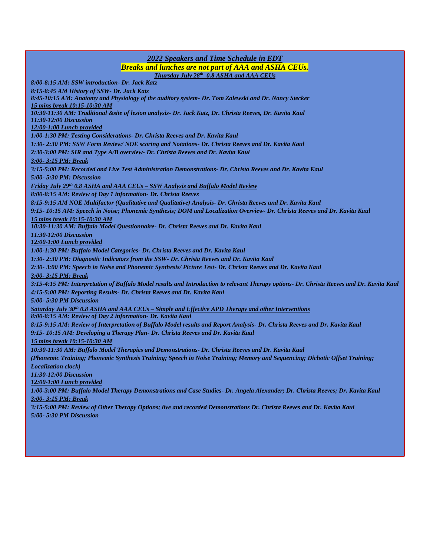### *2022 Speakers and Time Schedule in EDT Breaks and lunches are not part of AAA and ASHA CEUs. Thursday July 28th 0.8 ASHA and AAA CEUs 8:00-8:15 AM: SSW introduction- Dr. Jack Katz 8:15-8:45 AM History of SSW- Dr. Jack Katz 8:45-10:15 AM: Anatomy and Physiology of the auditory system- Dr. Tom Zalewski and Dr. Nancy Stecker 15 mins break 10:15-10:30 AM 10:30-11:30 AM: Traditional &site of lesion analysis- Dr. Jack Katz, Dr. Christa Reeves, Dr. Kavita Kaul 11:30-12:00 Discussion 12:00-1:00 Lunch provided 1:00-1:30 PM: Testing Considerations- Dr. Christa Reeves and Dr. Kavita Kaul 1:30- 2:30 PM: SSW Form Review/ NOE scoring and Notations- Dr. Christa Reeves and Dr. Kavita Kaul 2:30-3:00 PM: SIR and Type A/B overview- Dr. Christa Reeves and Dr. Kavita Kaul 3:00- 3:15 PM: Break 3:15-5:00 PM: Recorded and Live Test Administration Demonstrations- Dr. Christa Reeves and Dr. Kavita Kaul 5:00- 5:30 PM: Discussion Friday July 29th 0.8 ASHA and AAA CEUs – SSW Analysis and Buffalo Model Review 8:00-8:15 AM: Review of Day 1 information- Dr. Christa Reeves 8:15-9:15 AM NOE Multifactor (Qualitative and Qualitative) Analysis- Dr. Christa Reeves and Dr. Kavita Kaul 9:15- 10:15 AM: Speech in Noise; Phonemic Synthesis; DOM and Localization Overview- Dr. Christa Reeves and Dr. Kavita Kaul 15 mins break 10:15-10:30 AM 10:30-11:30 AM: Buffalo Model Questionnaire- Dr. Christa Reeves and Dr. Kavita Kaul 11:30-12:00 Discussion 12:00-1:00 Lunch provided 1:00-1:30 PM: Buffalo Model Categories- Dr. Christa Reeves and Dr. Kavita Kaul 1:30- 2:30 PM: Diagnostic Indicators from the SSW- Dr. Christa Reeves and Dr. Kavita Kaul 2:30- 3:00 PM: Speech in Noise and Phonemic Synthesis/ Picture Test- Dr. Christa Reeves and Dr. Kavita Kaul 3:00- 3:15 PM: Break 3:15-4:15 PM: Interpretation of Buffalo Model results and Introduction to relevant Therapy options- Dr. Christa Reeves and Dr. Kavita Kaul 4:15-5:00 PM: Reporting Results- Dr. Christa Reeves and Dr. Kavita Kaul 5:00- 5:30 PM Discussion Saturday July 30th 0.8 ASHA and AAA CEUs – Simple and Effective APD Therapy and other Interventions 8:00-8:15 AM: Review of Day 2 information- Dr. Kavita Kaul 8:15-9:15 AM: Review of Interpretation of Buffalo Model results and Report Analysis- Dr. Christa Reeves and Dr. Kavita Kaul 9:15- 10:15 AM: Developing a Therapy Plan- Dr. Christa Reeves and Dr. Kavita Kaul 15 mins break 10:15-10:30 AM 10:30-11:30 AM: Buffalo Model Therapies and Demonstrations- Dr. Christa Reeves and Dr. Kavita Kaul (Phonemic Training; Phonemic Synthesis Training; Speech in Noise Training; Memory and Sequencing; Dichotic Offset Training; Localization clock) 11:30-12:00 Discussion 12:00-1:00 Lunch provided 1:00-3:00 PM: Buffalo Model Therapy Demonstrations and Case Studies- Dr. Angela Alexander; Dr. Christa Reeves; Dr. Kavita Kaul 3:00- 3:15 PM: Break 3:15-5:00 PM: Review of Other Therapy Options; live and recorded Demonstrations Dr. Christa Reeves and Dr. Kavita Kaul 5:00- 5:30 PM Discussion*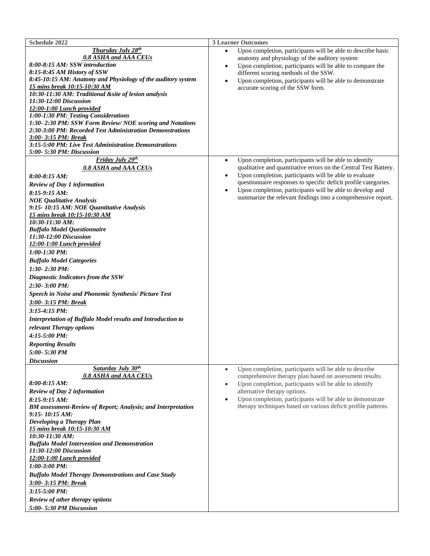| <b>Schedule 2022</b>                                                                                                                                                                                                                                                                                                                                                                                                                                                                                                                                                                                                                                                                                                                | <b>3 Learner Outcomes</b>                                                                                                                                                                                                                                                                                                                                                                                                   |
|-------------------------------------------------------------------------------------------------------------------------------------------------------------------------------------------------------------------------------------------------------------------------------------------------------------------------------------------------------------------------------------------------------------------------------------------------------------------------------------------------------------------------------------------------------------------------------------------------------------------------------------------------------------------------------------------------------------------------------------|-----------------------------------------------------------------------------------------------------------------------------------------------------------------------------------------------------------------------------------------------------------------------------------------------------------------------------------------------------------------------------------------------------------------------------|
| <b>Thursday July 28th</b><br>0.8 ASHA and AAA CEUs<br>8:00-8:15 AM: SSW introduction<br>8:15-8:45 AM History of SSW<br>8:45-10:15 AM: Anatomy and Physiology of the auditory system<br>15 mins break 10:15-10:30 AM<br>10:30-11:30 AM: Traditional &site of lesion analysis<br>11:30-12:00 Discussion<br>12:00-1:00 Lunch provided<br>1:00-1:30 PM: Testing Considerations<br>1:30-2:30 PM: SSW Form Review/ NOE scoring and Notations<br>2:30-3:00 PM: Recorded Test Administration Demonstrations<br>3:00-3:15 PM: Break<br>3:15-5:00 PM: Live Test Administration Demonstrations<br>5:00-5:30 PM: Discussion                                                                                                                     | Upon completion, participants will be able to describe basic<br>anatomy and physiology of the auditory system<br>Upon completion, participants will be able to compare the<br>$\bullet$<br>different scoring methods of the SSW.<br>Upon completion, participants will be able to demonstrate<br>$\bullet$<br>accurate scoring of the SSW form.                                                                             |
| Friday July 29th<br><b>0.8 ASHA and AAA CEUs</b><br>$8:00-8:15 AM$ :<br><b>Review of Day 1 information</b><br>8:15-9:15 AM:<br><b>NOE Qualitative Analysis</b><br>9:15-10:15 AM: NOE Quantitative Analysis<br>15 mins break 10:15-10:30 AM<br>10:30-11:30 AM:<br><b>Buffalo Model Questionnaire</b><br>11:30-12:00 Discussion<br>12:00-1:00 Lunch provided<br>1:00-1:30 PM:<br><b>Buffalo Model Categories</b><br>$1:30 - 2:30 PM$ :<br>Diagnostic Indicators from the SSW<br>2:30-3:00 PM:<br>Speech in Noise and Phonemic Synthesis/ Picture Test<br>3:00-3:15 PM: Break<br>3:15-4:15 PM:<br>Interpretation of Buffalo Model results and Introduction to<br>relevant Therapy options<br>4:15-5:00 PM:<br><b>Reporting Results</b> | Upon completion, participants will be able to identify<br>$\bullet$<br>qualitative and quantitative errors on the Central Test Battery.<br>Upon completion, participants will be able to evaluate<br>$\bullet$<br>questionnaire responses to specific deficit profile categories.<br>Upon completion, participants will be able to develop and<br>$\bullet$<br>summarize the relevant findings into a comprehensive report. |
| 5:00-5:30 PM<br><b>Discussion</b>                                                                                                                                                                                                                                                                                                                                                                                                                                                                                                                                                                                                                                                                                                   |                                                                                                                                                                                                                                                                                                                                                                                                                             |
| Saturday July 30th<br>0.8 ASHA and AAA CEUs<br>$8:00-8:15 AM$ :<br>Review of Day 2 information<br>8:15-9:15 AM:<br><b>BM</b> assessment-Review of Report; Analysis; and Interpretation<br>$9:15 - 10:15 AM$<br>Developing a Therapy Plan<br>15 mins break 10:15-10:30 AM<br>10:30-11:30 AM:<br><b>Buffalo Model Intervention and Demonstration</b><br>11:30-12:00 Discussion<br>12:00-1:00 Lunch provided<br>1:00-3:00 PM:<br><b>Buffalo Model Therapy Demonstrations and Case Study</b><br>3:00-3:15 PM: Break<br>3:15-5:00 PM:<br>Review of other therapy options<br>5:00-5:30 PM Discussion                                                                                                                                      | Upon completion, participants will be able to describe<br>$\bullet$<br>comprehensive therapy plan based on assessment results.<br>Upon completion, participants will be able to identify<br>$\bullet$<br>alternative therapy options.<br>Upon completion, participants will be able to demonstrate<br>٠<br>therapy techniques based on various deficit profile patterns.                                                    |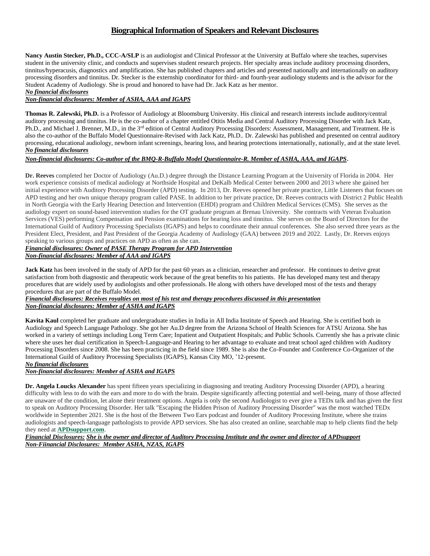# **Biographical Information of Speakers and Relevant Disclosures**

**Nancy Austin Stecker, Ph.D., CCC-A/SLP** is an audiologist and Clinical Professor at the University at Buffalo where she teaches, supervises student in the university clinic, and conducts and supervises student research projects. Her specialty areas include auditory processing disorders, tinnitus/hyperacusis, diagnostics and amplification. She has published chapters and articles and presented nationally and internationally on auditory processing disorders and tinnitus. Dr. Stecker is the externship coordinator for third- and fourth-year audiology students and is the advisor for the Student Academy of Audiology. She is proud and honored to have had Dr. Jack Katz as her mentor. *No financial disclosures*

#### *Non-financial disclosures: Member of ASHA, AAA and IGAPS*

**Thomas R. Zalewski, Ph.D.** is a Professor of Audiology at Bloomsburg University. His clinical and research interests include auditory/central auditory processing and tinnitus. He is the co-author of a chapter entitled Otitis Media and Central Auditory Processing Disorder with Jack Katz, Ph.D., and Michael J. Brenner, M.D., in the 3<sup>rd</sup> edition of Central Auditory Processing Disorders: Assessment, Management, and Treatment. He is also the co-author of the Buffalo Model Questionnaire-Revised with Jack Katz, Ph.D.. Dr. Zalewski has published and presented on central auditory processing, educational audiology, newborn infant screenings, hearing loss, and hearing protections internationally, nationally, and at the state level. *No financial disclosures*

## *Non-financial disclosures: Co-author of the BMQ-R-Buffalo Model Questionnaire-R. Member of ASHA, AAA, and IGAPS*.

**Dr. Reeves** completed her Doctor of Audiology (Au.D.) degree through the Distance Learning Program at the University of Florida in 2004. Her work experience consists of medical audiology at Northside Hospital and DeKalb Medical Center between 2000 and 2013 where she gained her initial experience with Auditory Processing Disorder (APD) testing. In 2013, Dr. Reeves opened her private practice, Little Listeners that focuses on APD testing and her own unique therapy program called PASE. In addition to her private practice, Dr. Reeves contracts with District 2 Public Health in North Georgia with the Early Hearing Detection and Intervention (EHDI) program and Children Medical Services (CMS). She serves as the audiology expert on sound-based intervention studies for the OT graduate program at Brenau University. She contracts with Veteran Evaluation Services (VES) performing Compensation and Pension examinations for hearing loss and tinnitus. She serves on the Board of Directors for the International Guild of Auditory Processing Specialists (IGAPS) and helps to coordinate their annual conferences. She also served three years as the President Elect, President, and Past President of the Georgia Academy of Audiology (GAA) between 2019 and 2022. Lastly, Dr. Reeves enjoys speaking to various groups and practices on APD as often as she can.

#### *Financial disclosures: Owner of PASE Therapy Program for APD Intervention*

*Non-financial disclosures: Member of AAA and IGAPS*

**Jack Katz** has been involved in the study of APD for the past 60 years as a clinician, researcher and professor. He continues to derive great satisfaction from both diagnostic and therapeutic work because of the great benefits to his patients. He has developed many test and therapy procedures that are widely used by audiologists and other professionals. He along with others have developed most of the tests and therapy procedures that are part of the Buffalo Model.

#### *Financial disclosures: Receives royalties on most of his test and therapy procedures discussed in this presentation Non-financial disclosures: Member of ASHA and IGAPS*

**Kavita Kaul** completed her graduate and undergraduate studies in India in All India Institute of Speech and Hearing. She is certified both in Audiology and Speech Language Pathology. She got her Au.D degree from the Arizona School of Health Sciences for ATSU Arizona. She has worked in a variety of settings including Long Term Care; Inpatient and Outpatient Hospitals; and Public Schools. Currently she has a private clinic where she uses her dual certification in Speech-Language-and Hearing to her advantage to evaluate and treat school aged children with Auditory Processing Disorders since 2008. She has been practicing in the field since 1989. She is also the Co-Founder and Conference Co-Organizer of the International Guild of Auditory Processing Specialists (IGAPS), Kansas City MO, '12-present.

# *No financial disclosures*

## *Non-financial disclosures: Member of ASHA and IGAPS*

**Dr. Angela Loucks Alexander** has spent fifteen years specializing in diagnosing and treating Auditory Processing Disorder (APD), a hearing difficulty with less to do with the ears and more to do with the brain. Despite significantly affecting potential and well-being, many of those affected are unaware of the condition, let alone their treatment options. Angela is only the second Audiologist to ever give a TEDx talk and has given the first to speak on Auditory Processing Disorder. Her talk "Escaping the Hidden Prison of Auditory Processing Disorder" was the most watched TEDx worldwide in September 2021. She is the host of the Between Two Ears podcast and founder of Auditory Processing Institute, where she trains audiologists and speech-language pathologists to provide APD services. She has also created an online, searchable map to help clients find the help they need at **[APDsupport.com](https://www.apdsupport.com/)**.

*Financial Disclosures: She is the owner and director of Auditory Processing Institute and the owner and director of APDsupport Non-Fiinancial Disclosures: Member ASHA, NZAS, IGAPS*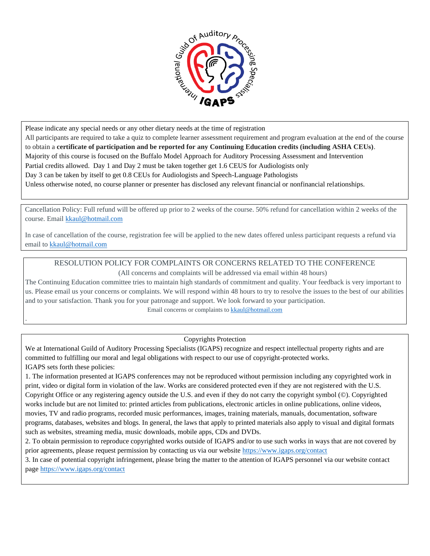

Please indicate any special needs or any other dietary needs at the time of registration

.

All participants are required to take a quiz to complete learner assessment requirement and program evaluation at the end of the course to obtain a **certificate of participation and be reported for any Continuing Education credits (including ASHA CEUs)**. Majority of this course is focused on the Buffalo Model Approach for Auditory Processing Assessment and Intervention Partial credits allowed. Day 1 and Day 2 must be taken together get 1.6 CEUS for Audiologists only Day 3 can be taken by itself to get 0.8 CEUs for Audiologists and Speech-Language Pathologists Unless otherwise noted, no course planner or presenter has disclosed any relevant financial or nonfinancial relationships.

Cancellation Policy: Full refund will be offered up prior to 2 weeks of the course. 50% refund for cancellation within 2 weeks of the course. Email [kkaul@hotmail.com](about:blank)

In case of cancellation of the course, registration fee will be applied to the new dates offered unless participant requests a refund via email t[o kkaul@hotmail.com](about:blank) 

# RESOLUTION POLICY FOR COMPLAINTS OR CONCERNS RELATED TO THE CONFERENCE

(All concerns and complaints will be addressed via email within 48 hours)

The Continuing Education committee tries to maintain high standards of commitment and quality. Your feedback is very important to us. Please email us your concerns or complaints. We will respond within 48 hours to try to resolve the issues to the best of our abilities and to your satisfaction. Thank you for your patronage and support. We look forward to your participation. Email concerns or complaints t[o kkaul@hotmail.com](about:blank)

Copyrights Protection

We at International Guild of Auditory Processing Specialists (IGAPS) recognize and respect intellectual property rights and are committed to fulfilling our moral and legal obligations with respect to our use of copyright-protected works. IGAPS sets forth these policies:

1. The information presented at IGAPS conferences may not be reproduced without permission including any copyrighted work in print, video or digital form in violation of the law. Works are considered protected even if they are not registered with the U.S. Copyright Office or any registering agency outside the U.S. and even if they do not carry the copyright symbol (©). Copyrighted works include but are not limited to: printed articles from publications, electronic articles in online publications, online videos, movies, TV and radio programs, recorded music performances, images, training materials, manuals, documentation, software programs, databases, websites and blogs. In general, the laws that apply to printed materials also apply to visual and digital formats such as websites, streaming media, music downloads, mobile apps, CDs and DVDs.

2. To obtain permission to reproduce copyrighted works outside of IGAPS and/or to use such works in ways that are not covered by prior agreements, please request permission by contacting us via our website [https://www.igaps.org/contact](about:blank) 

3. In case of potential copyright infringement, please bring the matter to the attention of IGAPS personnel via our website contact page [https://www.igaps.org/contact](about:blank)